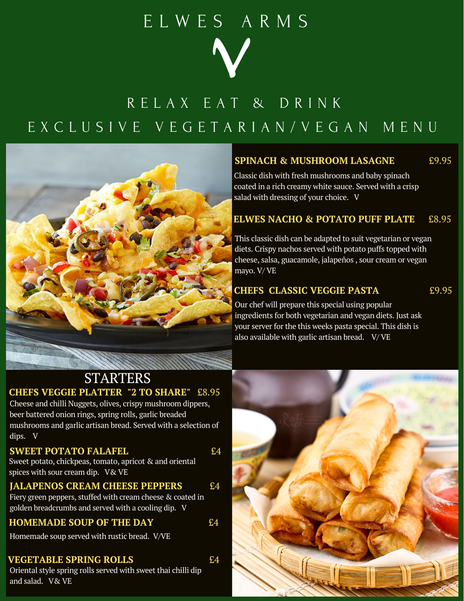## E L W E S A R M S



## R E L A X E A T & D R I N K E X C L U S I V E V E G E T A R I A N / V E G A N M E N U



#### **SPINACH & MUSHROOM LASAGNE** £9.95

Classic dish with fresh mushrooms and baby spinach coated in a rich creamy white sauce. Served with a crisp salad with dressing of your choice. V

#### **ELWES NACHO & POTATO PUFF PLATE** £8.95

This classic dish can be adapted to suit vegetarian or vegan diets. Crispy nachos served with potato puffs topped with cheese, salsa, guacamole, jalapeños , sour cream or vegan mayo. V/ VE

#### **CHEFS CLASSIC VEGGIE PASTA** £9.95

Our chef will prepare this special using popular ingredients for both vegetarian and vegan diets. Just ask your server for the this weeks pasta special. This dish is also available with garlic artisan bread. V/VE

### **STARTERS CHEFS VEGGIE PLATTER "2 TO SHARE"** £8.95

Cheese and chilli Nuggets, olives, crispy mushroom dippers, beer battered onion rings, spring rolls, garlic breaded mushrooms and garlic artisan bread. Served with a selection of dips. V

#### **SWEET POTATO FALAFEL** E4

Sweet potato, chickpeas, tomato, apricot & and oriental spices with sour cream dip. V& VE

#### **JALAPENOS CREAM CHEESE PEPPERS** £4

Fiery green peppers, stuffed with cream cheese & coated in golden breadcrumbs and served with a cooling dip. V

#### **HOMEMADE SOUP OF THE DAY** £4

Homemade soup served with rustic bread. V/VE

#### **VEGETABLE SPRING ROLLS** £4

Oriental style spring rolls served with sweet thai chilli dip and salad. V& VE